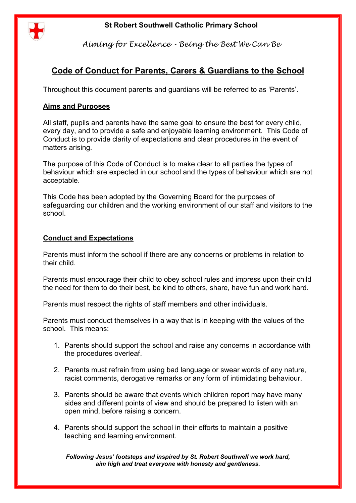# **St Robert Southwell Catholic Primary School**



*Aiming for Excellence - Being the Best We Can Be*

# **Code of Conduct for Parents, Carers & Guardians to the School**

Throughout this document parents and guardians will be referred to as 'Parents'.

### **Aims and Purposes**

All staff, pupils and parents have the same goal to ensure the best for every child, every day, and to provide a safe and enjoyable learning environment. This Code of Conduct is to provide clarity of expectations and clear procedures in the event of matters arising.

The purpose of this Code of Conduct is to make clear to all parties the types of behaviour which are expected in our school and the types of behaviour which are not acceptable.

This Code has been adopted by the Governing Board for the purposes of safeguarding our children and the working environment of our staff and visitors to the school.

## **Conduct and Expectations**

Parents must inform the school if there are any concerns or problems in relation to their child.

Parents must encourage their child to obey school rules and impress upon their child the need for them to do their best, be kind to others, share, have fun and work hard.

Parents must respect the rights of staff members and other individuals.

Parents must conduct themselves in a way that is in keeping with the values of the school. This means:

- 1. Parents should support the school and raise any concerns in accordance with the procedures overleaf.
- 2. Parents must refrain from using bad language or swear words of any nature, racist comments, derogative remarks or any form of intimidating behaviour.
- 3. Parents should be aware that events which children report may have many sides and different points of view and should be prepared to listen with an open mind, before raising a concern.
- 4. Parents should support the school in their efforts to maintain a positive teaching and learning environment.

*Following Jesus' footsteps and inspired by St. Robert Southwell we work hard, aim high and treat everyone with honesty and gentleness.*